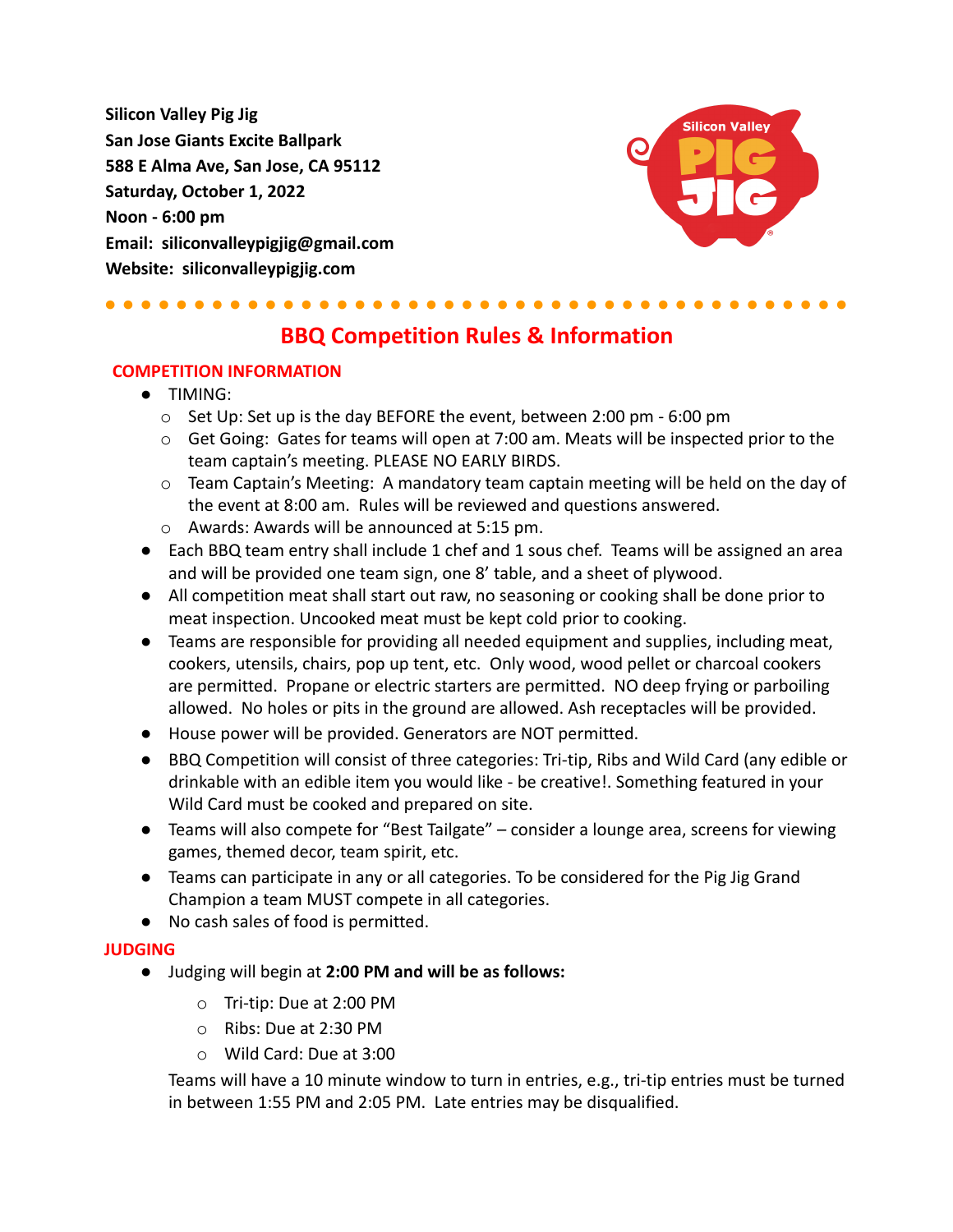**Silicon Valley Pig Jig San Jose Giants Excite Ballpark 588 E Alma Ave, San Jose, CA 95112 Saturday, October 1, 2022 Noon - 6:00 pm Email: siliconvalleypigjig@gmail.com Website: siliconvalleypigjig.com**



## ● ● ● ● ● ● ● ● ● ● ● ● ● ● ● ● ● ● ● ● ● ● ● ● ● ● ● ● ● ● ● ● ● ● ● ● ● ● ● ● ● ●

# **BBQ Competition Rules & Information**

#### **COMPETITION INFORMATION**

- TIMING:
	- o Set Up: Set up is the day BEFORE the event, between 2:00 pm 6:00 pm
	- $\circ$  Get Going: Gates for teams will open at 7:00 am. Meats will be inspected prior to the team captain's meeting. PLEASE NO EARLY BIRDS.
	- $\circ$  Team Captain's Meeting: A mandatory team captain meeting will be held on the day of the event at 8:00 am. Rules will be reviewed and questions answered.
	- o Awards: Awards will be announced at 5:15 pm.
- Each BBQ team entry shall include 1 chef and 1 sous chef. Teams will be assigned an area and will be provided one team sign, one 8' table, and a sheet of plywood.
- All competition meat shall start out raw, no seasoning or cooking shall be done prior to meat inspection. Uncooked meat must be kept cold prior to cooking.
- Teams are responsible for providing all needed equipment and supplies, including meat, cookers, utensils, chairs, pop up tent, etc. Only wood, wood pellet or charcoal cookers are permitted. Propane or electric starters are permitted. NO deep frying or parboiling allowed. No holes or pits in the ground are allowed. Ash receptacles will be provided.
- House power will be provided. Generators are NOT permitted.
- BBQ Competition will consist of three categories: Tri-tip, Ribs and Wild Card (any edible or drinkable with an edible item you would like - be creative!. Something featured in your Wild Card must be cooked and prepared on site.
- Teams will also compete for "Best Tailgate" consider a lounge area, screens for viewing games, themed decor, team spirit, etc.
- Teams can participate in any or all categories. To be considered for the Pig Jig Grand Champion a team MUST compete in all categories.
- No cash sales of food is permitted.

#### **JUDGING**

- Judging will begin at **2:00 PM and will be as follows:**
	- o Tri-tip: Due at 2:00 PM
	- o Ribs: Due at 2:30 PM
	- o Wild Card: Due at 3:00

Teams will have a 10 minute window to turn in entries, e.g., tri-tip entries must be turned in between 1:55 PM and 2:05 PM. Late entries may be disqualified.